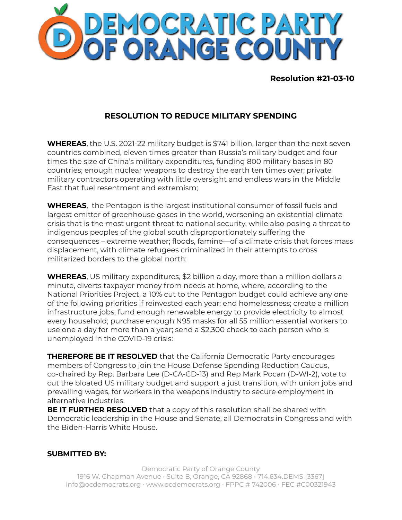

**Resolution #21-03-10**

## **RESOLUTION TO REDUCE MILITARY SPENDING**

**WHEREAS**, the U.S. 2021-22 military budget is \$741 billion, larger than the next seven countries combined, eleven times greater than Russia's military budget and four times the size of China's military expenditures, funding 800 military bases in 80 countries; enough nuclear weapons to destroy the earth ten times over; private military contractors operating with little oversight and endless wars in the Middle East that fuel resentment and extremism;

**WHEREAS**, the Pentagon is the largest institutional consumer of fossil fuels and largest emitter of greenhouse gases in the world, worsening an existential climate crisis that is the most urgent threat to national security, while also posing a threat to indigenous peoples of the global south disproportionately suffering the consequences – extreme weather; floods, famine—of a climate crisis that forces mass displacement, with climate refugees criminalized in their attempts to cross militarized borders to the global north:

**WHEREAS**, US military expenditures, \$2 billion a day, more than a million dollars a minute, diverts taxpayer money from needs at home, where, according to the National Priorities Project, a 10% cut to the Pentagon budget could achieve any one of the following priorities if reinvested each year: end homelessness; create a million infrastructure jobs; fund enough renewable energy to provide electricity to almost every household; purchase enough N95 masks for all 55 million essential workers to use one a day for more than a year; send a \$2,300 check to each person who is unemployed in the COVID-19 crisis:

**THEREFORE BE IT RESOLVED** that the California Democratic Party encourages members of Congress to join the House Defense Spending Reduction Caucus, co-chaired by Rep. Barbara Lee (D-CA-CD-13) and Rep Mark Pocan (D-WI-2), vote to cut the bloated US military budget and support a just transition, with union jobs and prevailing wages, for workers in the weapons industry to secure employment in alternative industries.

**BE IT FURTHER RESOLVED** that a copy of this resolution shall be shared with Democratic leadership in the House and Senate, all Democrats in Congress and with the Biden-Harris White House.

## **SUBMITTED BY:**

Democratic Party of Orange County 1916 W. Chapman Avenue • Suite B, Orange, CA 92868 • 714.634.DEMS [3367] info@ocdemocrats.org • www.ocdemocrats.org • FPPC # 742006 • FEC #C00321943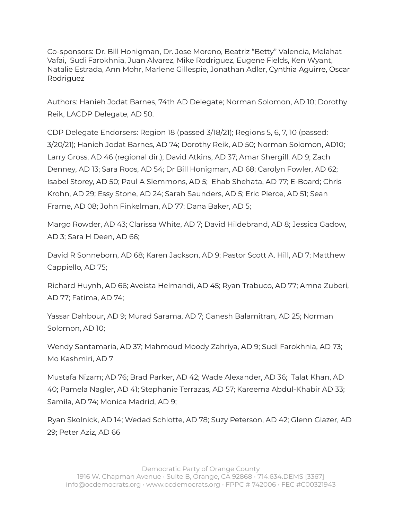Co-sponsors: Dr. Bill Honigman, Dr. Jose Moreno, Beatriz "Betty" Valencia, Melahat Vafai, Sudi Farokhnia, Juan Alvarez, Mike Rodriguez, Eugene Fields, Ken Wyant, Natalie Estrada, Ann Mohr, Marlene Gillespie, Jonathan Adler, Cynthia Aguirre, Oscar Rodriguez

Authors: Hanieh Jodat Barnes, 74th AD Delegate; Norman Solomon, AD 10; Dorothy Reik, LACDP Delegate, AD 50.

CDP Delegate Endorsers: Region 18 (passed 3/18/21); Regions 5, 6, 7, 10 (passed: 3/20/21); Hanieh Jodat Barnes, AD 74; Dorothy Reik, AD 50; Norman Solomon, AD10; Larry Gross, AD 46 (regional dir.); David Atkins, AD 37; Amar Shergill, AD 9; Zach Denney, AD 13; Sara Roos, AD 54; Dr Bill Honigman, AD 68; Carolyn Fowler, AD 62; Isabel Storey, AD 50; Paul A Slemmons, AD 5; Ehab Shehata, AD 77; E-Board; Chris Krohn, AD 29; Essy Stone, AD 24; Sarah Saunders, AD 5; Eric Pierce, AD 51; Sean Frame, AD 08; John Finkelman, AD 77; Dana Baker, AD 5;

Margo Rowder, AD 43; Clarissa White, AD 7; David Hildebrand, AD 8; Jessica Gadow, AD 3; Sara H Deen, AD 66;

David R Sonneborn, AD 68; Karen Jackson, AD 9; Pastor Scott A. Hill, AD 7; Matthew Cappiello, AD 75;

Richard Huynh, AD 66; Aveista Helmandi, AD 45; Ryan Trabuco, AD 77; Amna Zuberi, AD 77; Fatima, AD 74;

Yassar Dahbour, AD 9; Murad Sarama, AD 7; Ganesh Balamitran, AD 25; Norman Solomon, AD 10;

Wendy Santamaria, AD 37; Mahmoud Moody Zahriya, AD 9; Sudi Farokhnia, AD 73; Mo Kashmiri, AD 7

Mustafa Nizam; AD 76; Brad Parker, AD 42; Wade Alexander, AD 36; Talat Khan, AD 40; Pamela Nagler, AD 41; Stephanie Terrazas, AD 57; Kareema Abdul-Khabir AD 33; Samila, AD 74; Monica Madrid, AD 9;

Ryan Skolnick, AD 14; Wedad Schlotte, AD 78; Suzy Peterson, AD 42; Glenn Glazer, AD 29; Peter Aziz, AD 66